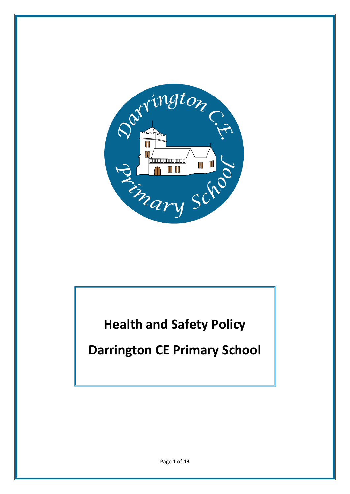

**Health and Safety Policy**

**Darrington CE Primary School**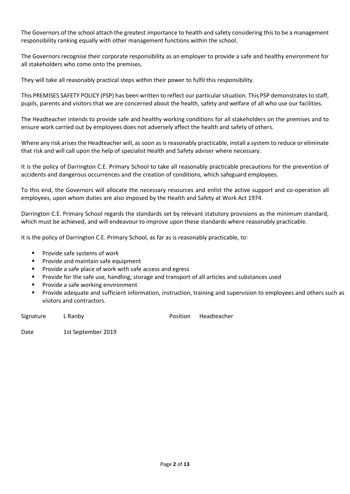The Governors of the school attach the greatest importance to health and safety considering this to be a management responsibility ranking equally with other management functions within the school.

The Governors recognise their corporate responsibility as an employer to provide a safe and healthy environment for all stakeholders who come onto the premises.

They will take all reasonably practical steps within their power to fulfil this responsibility.

This PREMISES SAFETY POLICY (PSP) has been written to reflect our particular situation. This PSP demonstrates to staff, pupils, parents and visitors that we are concerned about the health, safety and welfare of all who use our facilities.

The Headteacher intends to provide safe and healthy working conditions for all stakeholders on the premises and to ensure work carried out by employees does not adversely affect the health and safety of others.

Where any risk arises the Headteacher will, as soon as is reasonably practicable, install a system to reduce or eliminate that risk and will call upon the help of specialist Health and Safety adviser where necessary.

It is the policy of Darrington C.E. Primary School to take all reasonably practicable precautions for the prevention of accidents and dangerous occurrences and the creation of conditions, which safeguard employees.

To this end, the Governors will allocate the necessary resources and enlist the active support and co-operation all employees, upon whom duties are also imposed by the Health and Safety at Work Act 1974.

Darrington C.E. Primary School regards the standards set by relevant statutory provisions as the minimum standard, which must be achieved, and will endeavour to improve upon these standards where reasonably practicable.

It is the policy of Darrington C.E. Primary School, as far as is reasonably practicable, to:

- **Provide safe systems of work**
- **Provide and maintain safe equipment**
- Provide a safe place of work with safe access and egress
- Provide for the safe use, handling, storage and transport of all articles and substances used
- **Provide a safe working environment**
- Provide adequate and sufficient information, instruction, training and supervision to employees and others such as visitors and contractors.

Signature L Ranby **Example 20 Strategier 20 Signature** Position Headteacher

Date 1st September 2019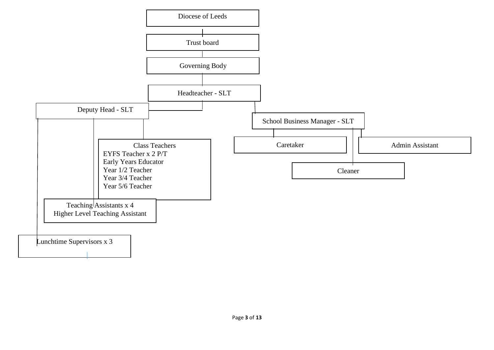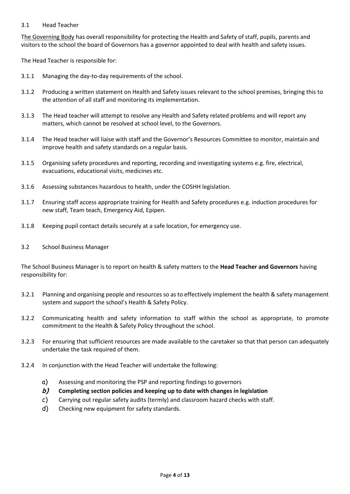### 3.1 Head Teacher

The Governing Body has overall responsibility for protecting the Health and Safety of staff, pupils, parents and visitors to the school the board of Governors has a governor appointed to deal with health and safety issues.

The Head Teacher is responsible for:

- 3.1.1 Managing the day-to-day requirements of the school.
- 3.1.2 Producing a written statement on Health and Safety issues relevant to the school premises, bringing this to the attention of all staff and monitoring its implementation.
- 3.1.3 The Head teacher will attempt to resolve any Health and Safety related problems and will report any matters, which cannot be resolved at school level, to the Governors.
- 3.1.4 The Head teacher will liaise with staff and the Governor's Resources Committee to monitor, maintain and improve health and safety standards on a regular basis.
- 3.1.5 Organising safety procedures and reporting, recording and investigating systems e.g. fire, electrical, evacuations, educational visits, medicines etc.
- 3.1.6 Assessing substances hazardous to health, under the COSHH legislation.
- 3.1.7 Ensuring staff access appropriate training for Health and Safety procedures e.g. induction procedures for new staff, Team teach, Emergency Aid, Epipen.
- 3.1.8 Keeping pupil contact details securely at a safe location, for emergency use.
- 3.2 School Business Manager

The School Business Manager is to report on health & safety matters to the **Head Teacher and Governors** having responsibility for:

- 3.2.1 Planning and organising people and resources so as to effectively implement the health & safety management system and support the school's Health & Safety Policy.
- 3.2.2 Communicating health and safety information to staff within the school as appropriate, to promote commitment to the Health & Safety Policy throughout the school.
- 3.2.3 For ensuring that sufficient resources are made available to the caretaker so that that person can adequately undertake the task required of them.
- 3.2.4 In conjunction with the Head Teacher will undertake the following:
	- a) Assessing and monitoring the PSP and reporting findings to governors
	- **b) Completing section policies and keeping up to date with changes in legislation**
	- c) Carrying out regular safety audits (termly) and classroom hazard checks with staff.
	- d) Checking new equipment for safety standards.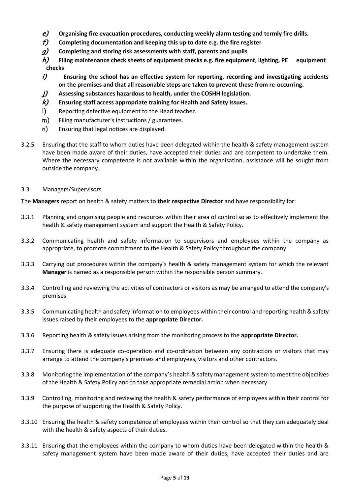- **e) Organising fire evacuation procedures, conducting weekly alarm testing and termly fire drills.**
- **f) Completing documentation and keeping this up to date e.g. the fire register**
- **g) Completing and storing risk assessments with staff, parents and pupils**
- **h) Filing maintenance check sheets of equipment checks e.g. fire equipment, lighting, PE equipment checks**
- **i) Ensuring the school has an effective system for reporting, recording and investigating accidents on the premises and that all reasonable steps are taken to prevent these from re-occurring.**
- **j) Assessing substances hazardous to health, under the COSHH legislation.**
- **k) Ensuring staff access appropriate training for Health and Safety issues.**
- l) Reporting defective equipment to the Head teacher.
- m) Filing manufacturer's instructions / guarantees.
- n) Ensuring that legal notices are displayed.
- 3.2.5 Ensuring that the staff to whom duties have been delegated within the health & safety management system have been made aware of their duties, have accepted their duties and are competent to undertake them. Where the necessary competence is not available within the organisation, assistance will be sought from outside the company.
- 3.3 Managers/Supervisors

The **Managers** report on health & safety matters to **their respective Director** and have responsibility for:

- 3.3.1 Planning and organising people and resources within their area of control so as to effectively implement the health & safety management system and support the Health & Safety Policy.
- 3.3.2 Communicating health and safety information to supervisors and employees within the company as appropriate, to promote commitment to the Health & Safety Policy throughout the company.
- 3.3.3 Carrying out procedures within the company's health & safety management system for which the relevant **Manager** is named as a responsible person within the responsible person summary.
- 3.3.4 Controlling and reviewing the activities of contractors or visitors as may be arranged to attend the company's premises.
- 3.3.5 Communicating health and safety information to employees within their control and reporting health & safety issues raised by their employees to the **appropriate Director.**
- 3.3.6 Reporting health & safety issues arising from the monitoring process to the **appropriate Director.**
- 3.3.7 Ensuring there is adequate co-operation and co-ordination between any contractors or visitors that may arrange to attend the company's premises and employees, visitors and other contractors.
- 3.3.8 Monitoring the implementation of the company's health & safety management system to meet the objectives of the Health & Safety Policy and to take appropriate remedial action when necessary.
- 3.3.9 Controlling, monitoring and reviewing the health & safety performance of employees within their control for the purpose of supporting the Health & Safety Policy.
- 3.3.10 Ensuring the health & safety competence of employees within their control so that they can adequately deal with the health & safety aspects of their duties.
- 3.3.11 Ensuring that the employees within the company to whom duties have been delegated within the health & safety management system have been made aware of their duties, have accepted their duties and are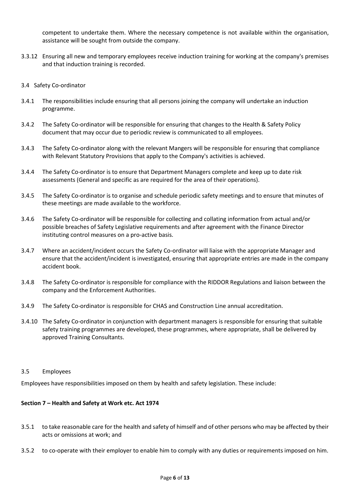competent to undertake them. Where the necessary competence is not available within the organisation, assistance will be sought from outside the company.

- 3.3.12 Ensuring all new and temporary employees receive induction training for working at the company's premises and that induction training is recorded.
- 3.4 Safety Co-ordinator
- 3.4.1 The responsibilities include ensuring that all persons joining the company will undertake an induction programme.
- 3.4.2 The Safety Co-ordinator will be responsible for ensuring that changes to the Health & Safety Policy document that may occur due to periodic review is communicated to all employees.
- 3.4.3 The Safety Co-ordinator along with the relevant Mangers will be responsible for ensuring that compliance with Relevant Statutory Provisions that apply to the Company's activities is achieved.
- 3.4.4 The Safety Co-ordinator is to ensure that Department Managers complete and keep up to date risk assessments (General and specific as are required for the area of their operations).
- 3.4.5 The Safety Co-ordinator is to organise and schedule periodic safety meetings and to ensure that minutes of these meetings are made available to the workforce.
- 3.4.6 The Safety Co-ordinator will be responsible for collecting and collating information from actual and/or possible breaches of Safety Legislative requirements and after agreement with the Finance Director instituting control measures on a pro-active basis.
- 3.4.7 Where an accident/incident occurs the Safety Co-ordinator will liaise with the appropriate Manager and ensure that the accident/incident is investigated, ensuring that appropriate entries are made in the company accident book.
- 3.4.8 The Safety Co-ordinator is responsible for compliance with the RIDDOR Regulations and liaison between the company and the Enforcement Authorities.
- 3.4.9 The Safety Co-ordinator is responsible for CHAS and Construction Line annual accreditation.
- 3.4.10 The Safety Co-ordinator in conjunction with department managers is responsible for ensuring that suitable safety training programmes are developed, these programmes, where appropriate, shall be delivered by approved Training Consultants.
- 3.5 Employees

Employees have responsibilities imposed on them by health and safety legislation. These include:

### **Section 7 – Health and Safety at Work etc. Act 1974**

- 3.5.1 to take reasonable care for the health and safety of himself and of other persons who may be affected by their acts or omissions at work; and
- 3.5.2 to co-operate with their employer to enable him to comply with any duties or requirements imposed on him.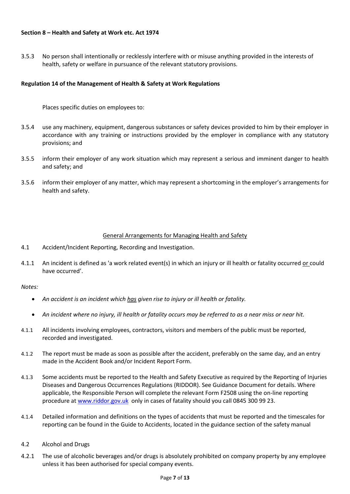### **Section 8 – Health and Safety at Work etc. Act 1974**

3.5.3 No person shall intentionally or recklessly interfere with or misuse anything provided in the interests of health, safety or welfare in pursuance of the relevant statutory provisions.

## **Regulation 14 of the Management of Health & Safety at Work Regulations**

Places specific duties on employees to:

- 3.5.4 use any machinery, equipment, dangerous substances or safety devices provided to him by their employer in accordance with any training or instructions provided by the employer in compliance with any statutory provisions; and
- 3.5.5 inform their employer of any work situation which may represent a serious and imminent danger to health and safety; and
- 3.5.6 inform their employer of any matter, which may represent a shortcoming in the employer's arrangements for health and safety.

## General Arrangements for Managing Health and Safety

- 4.1 Accident/Incident Reporting, Recording and Investigation.
- 4.1.1 An incident is defined as 'a work related event(s) in which an injury or ill health or fatality occurred or could have occurred'.

*Notes:* 

- *An accident is an incident which has given rise to injury or ill health or fatality.*
- *An incident where no injury, ill health or fatality occurs may be referred to as a near miss or near hit.*
- 4.1.1 All incidents involving employees, contractors, visitors and members of the public must be reported, recorded and investigated.
- 4.1.2 The report must be made as soon as possible after the accident, preferably on the same day, and an entry made in the Accident Book and/or Incident Report Form.
- 4.1.3 Some accidents must be reported to the Health and Safety Executive as required by the Reporting of Injuries Diseases and Dangerous Occurrences Regulations (RIDDOR). See Guidance Document for details. Where applicable, the Responsible Person will complete the relevant Form F2508 using the on-line reporting procedure at [www.riddor.gov.uk](http://www.riddor.gov.uk/) only in cases of fatality should you call 0845 300 99 23.
- 4.1.4 Detailed information and definitions on the types of accidents that must be reported and the timescales for reporting can be found in the Guide to Accidents, located in the guidance section of the safety manual
- 4.2 Alcohol and Drugs
- 4.2.1 The use of alcoholic beverages and/or drugs is absolutely prohibited on company property by any employee unless it has been authorised for special company events.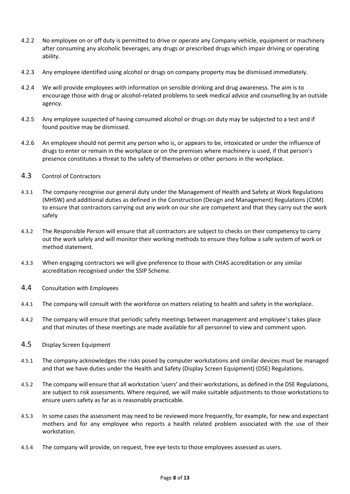- 4.2.2 No employee on or off duty is permitted to drive or operate any Company vehicle, equipment or machinery after consuming any alcoholic beverages, any drugs or prescribed drugs which impair driving or operating ability.
- 4.2.3 Any employee identified using alcohol or drugs on company property may be dismissed immediately.
- 4.2.4 We will provide employees with information on sensible drinking and drug awareness. The aim is to encourage those with drug or alcohol-related problems to seek medical advice and counselling by an outside agency.
- 4.2.5 Any employee suspected of having consumed alcohol or drugs on duty may be subjected to a test and if found positive may be dismissed.
- 4.2.6 An employee should not permit any person who is, or appears to be, intoxicated or under the influence of drugs to enter or remain in the workplace or on the premises where machinery is used, if that person's presence constitutes a threat to the safety of themselves or other persons in the workplace.
- 4.3 Control of Contractors
- 4.3.1 The company recognise our general duty under the Management of Health and Safety at Work Regulations (MHSW) and additional duties as defined in the Construction (Design and Management) Regulations (CDM) to ensure that contractors carrying out any work on our site are competent and that they carry out the work safely
- 4.3.2 The Responsible Person will ensure that all contractors are subject to checks on their competency to carry out the work safely and will monitor their working methods to ensure they follow a safe system of work or method statement.
- 4.3.3 When engaging contractors we will give preference to those with CHAS accreditation or any similar accreditation recognised under the SSIP Scheme.
- 4.4 Consultation with Employees
- 4.4.1 The company will consult with the workforce on matters relating to health and safety in the workplace.
- 4.4.2 The company will ensure that periodic safety meetings between management and employee's takes place and that minutes of these meetings are made available for all personnel to view and comment upon.
- 4.5 Display Screen Equipment
- 4.5.1 The company acknowledges the risks posed by computer workstations and similar devices must be managed and that we have duties under the Health and Safety (Display Screen Equipment) (DSE) Regulations.
- 4.5.2 The company will ensure that all workstation 'users' and their workstations, as defined in the DSE Regulations, are subject to risk assessments. Where required, we will make suitable adjustments to those workstations to ensure users safety as far as is reasonably practicable.
- 4.5.3 In some cases the assessment may need to be reviewed more frequently, for example, for new and expectant mothers and for any employee who reports a health related problem associated with the use of their workstation.
- 4.5.4 The company will provide, on request, free eye tests to those employees assessed as users.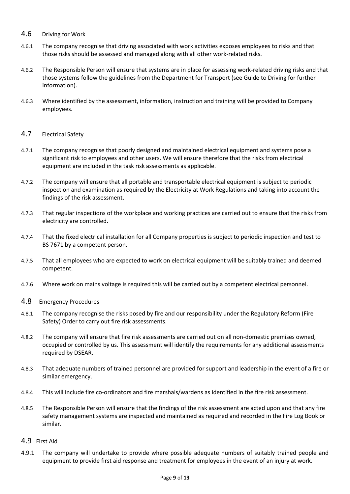## 4.6 Driving for Work

- 4.6.1 The company recognise that driving associated with work activities exposes employees to risks and that those risks should be assessed and managed along with all other work-related risks.
- 4.6.2 The Responsible Person will ensure that systems are in place for assessing work-related driving risks and that those systems follow the guidelines from the Department for Transport (see Guide to Driving for further information).
- 4.6.3 Where identified by the assessment, information, instruction and training will be provided to Company employees.

## 4.7 Electrical Safety

- 4.7.1 The company recognise that poorly designed and maintained electrical equipment and systems pose a significant risk to employees and other users. We will ensure therefore that the risks from electrical equipment are included in the task risk assessments as applicable.
- 4.7.2 The company will ensure that all portable and transportable electrical equipment is subject to periodic inspection and examination as required by the Electricity at Work Regulations and taking into account the findings of the risk assessment.
- 4.7.3 That regular inspections of the workplace and working practices are carried out to ensure that the risks from electricity are controlled.
- 4.7.4 That the fixed electrical installation for all Company properties is subject to periodic inspection and test to BS 7671 by a competent person.
- 4.7.5 That all employees who are expected to work on electrical equipment will be suitably trained and deemed competent.
- 4.7.6 Where work on mains voltage is required this will be carried out by a competent electrical personnel.
- 4.8 Emergency Procedures
- 4.8.1 The company recognise the risks posed by fire and our responsibility under the Regulatory Reform (Fire Safety) Order to carry out fire risk assessments.
- 4.8.2 The company will ensure that fire risk assessments are carried out on all non-domestic premises owned, occupied or controlled by us. This assessment will identify the requirements for any additional assessments required by DSEAR.
- 4.8.3 That adequate numbers of trained personnel are provided for support and leadership in the event of a fire or similar emergency.
- 4.8.4 This will include fire co-ordinators and fire marshals/wardens as identified in the fire risk assessment.
- 4.8.5 The Responsible Person will ensure that the findings of the risk assessment are acted upon and that any fire safety management systems are inspected and maintained as required and recorded in the Fire Log Book or similar.

## 4.9 First Aid

4.9.1 The company will undertake to provide where possible adequate numbers of suitably trained people and equipment to provide first aid response and treatment for employees in the event of an injury at work.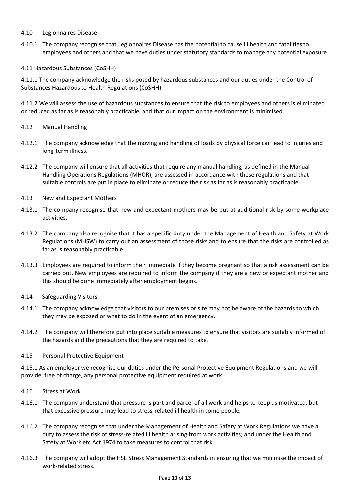### 4.10 Legionnaires Disease

4.10.1 The company recognise that Legionnaires Disease has the potential to cause ill health and fatalities to employees and others and that we have duties under statutory standards to manage any potential exposure.

### 4.11 Hazardous Substances (CoSHH)

4.11.1 The company acknowledge the risks posed by hazardous substances and our duties under the Control of Substances Hazardous to Health Regulations (CoSHH).

4.11.2 We will assess the use of hazardous substances to ensure that the risk to employees and others is eliminated or reduced as far as is reasonably practicable, and that our impact on the environment is minimised.

### 4.12 Manual Handling

- 4.12.1 The company acknowledge that the moving and handling of loads by physical force can lead to injuries and long-term illness.
- 4.12.2 The company will ensure that all activities that require any manual handling, as defined in the Manual Handling Operations Regulations (MHOR), are assessed in accordance with these regulations and that suitable controls are put in place to eliminate or reduce the risk as far as is reasonably practicable.
- 4.13 New and Expectant Mothers
- 4.13.1 The company recognise that new and expectant mothers may be put at additional risk by some workplace activities.
- 4.13.2 The company also recognise that it has a specific duty under the Management of Health and Safety at Work Regulations (MHSW) to carry out an assessment of those risks and to ensure that the risks are controlled as far as is reasonably practicable.
- 4.13.3 Employees are required to inform their immediate if they become pregnant so that a risk assessment can be carried out. New employees are required to inform the company if they are a new or expectant mother and this should be done immediately after employment begins.
- 4.14 Safeguarding Visitors
- 4.14.1 The company acknowledge that visitors to our premises or site may not be aware of the hazards to which they may be exposed or what to do in the event of an emergency.
- 4.14.2 The company will therefore put into place suitable measures to ensure that visitors are suitably informed of the hazards and the precautions that they are required to take.

### 4.15 Personal Protective Equipment

4.15.1 As an employer we recognise our duties under the Personal Protective Equipment Regulations and we will provide, free of charge, any personal protective equipment required at work.

- 4.16 Stress at Work
- 4.16.1 The company understand that pressure is part and parcel of all work and helps to keep us motivated, but that excessive pressure may lead to stress-related ill health in some people.
- 4.16.2 The company recognise that under the Management of Health and Safety at Work Regulations we have a duty to assess the risk of stress-related ill health arising from work activities; and under the Health and Safety at Work etc Act 1974 to take measures to control that risk
- 4.16.3 The company will adopt the HSE Stress Management Standards in ensuring that we minimise the impact of work-related stress.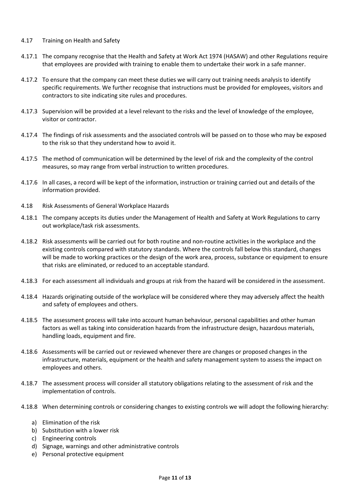### 4.17 Training on Health and Safety

- 4.17.1 The company recognise that the Health and Safety at Work Act 1974 (HASAW) and other Regulations require that employees are provided with training to enable them to undertake their work in a safe manner.
- 4.17.2 To ensure that the company can meet these duties we will carry out training needs analysis to identify specific requirements. We further recognise that instructions must be provided for employees, visitors and contractors to site indicating site rules and procedures.
- 4.17.3 Supervision will be provided at a level relevant to the risks and the level of knowledge of the employee, visitor or contractor.
- 4.17.4 The findings of risk assessments and the associated controls will be passed on to those who may be exposed to the risk so that they understand how to avoid it.
- 4.17.5 The method of communication will be determined by the level of risk and the complexity of the control measures, so may range from verbal instruction to written procedures.
- 4.17.6 In all cases, a record will be kept of the information, instruction or training carried out and details of the information provided.
- 4.18 Risk Assessments of General Workplace Hazards
- 4.18.1 The company accepts its duties under the Management of Health and Safety at Work Regulations to carry out workplace/task risk assessments.
- 4.18.2 Risk assessments will be carried out for both routine and non-routine activities in the workplace and the existing controls compared with statutory standards. Where the controls fall below this standard, changes will be made to working practices or the design of the work area, process, substance or equipment to ensure that risks are eliminated, or reduced to an acceptable standard.
- 4.18.3 For each assessment all individuals and groups at risk from the hazard will be considered in the assessment.
- 4.18.4 Hazards originating outside of the workplace will be considered where they may adversely affect the health and safety of employees and others.
- 4.18.5 The assessment process will take into account human behaviour, personal capabilities and other human factors as well as taking into consideration hazards from the infrastructure design, hazardous materials, handling loads, equipment and fire.
- 4.18.6 Assessments will be carried out or reviewed whenever there are changes or proposed changes in the infrastructure, materials, equipment or the health and safety management system to assess the impact on employees and others.
- 4.18.7 The assessment process will consider all statutory obligations relating to the assessment of risk and the implementation of controls.
- 4.18.8 When determining controls or considering changes to existing controls we will adopt the following hierarchy:
	- a) Elimination of the risk
	- b) Substitution with a lower risk
	- c) Engineering controls
	- d) Signage, warnings and other administrative controls
	- e) Personal protective equipment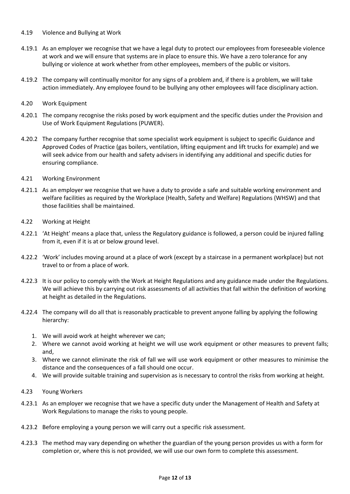- 4.19 Violence and Bullying at Work
- 4.19.1 As an employer we recognise that we have a legal duty to protect our employees from foreseeable violence at work and we will ensure that systems are in place to ensure this. We have a zero tolerance for any bullying or violence at work whether from other employees, members of the public or visitors.
- 4.19.2 The company will continually monitor for any signs of a problem and, if there is a problem, we will take action immediately. Any employee found to be bullying any other employees will face disciplinary action.
- 4.20 Work Equipment
- 4.20.1 The company recognise the risks posed by work equipment and the specific duties under the Provision and Use of Work Equipment Regulations (PUWER).
- 4.20.2 The company further recognise that some specialist work equipment is subject to specific Guidance and Approved Codes of Practice (gas boilers, ventilation, lifting equipment and lift trucks for example) and we will seek advice from our health and safety advisers in identifying any additional and specific duties for ensuring compliance.
- 4.21 Working Environment
- 4.21.1 As an employer we recognise that we have a duty to provide a safe and suitable working environment and welfare facilities as required by the Workplace (Health, Safety and Welfare) Regulations (WHSW) and that those facilities shall be maintained.
- 4.22 Working at Height
- 4.22.1 'At Height' means a place that, unless the Regulatory guidance is followed, a person could be injured falling from it, even if it is at or below ground level.
- 4.22.2 'Work' includes moving around at a place of work (except by a staircase in a permanent workplace) but not travel to or from a place of work.
- 4.22.3 It is our policy to comply with the Work at Height Regulations and any guidance made under the Regulations. We will achieve this by carrying out risk assessments of all activities that fall within the definition of working at height as detailed in the Regulations.
- 4.22.4 The company will do all that is reasonably practicable to prevent anyone falling by applying the following hierarchy:
	- 1. We will avoid work at height wherever we can;
	- 2. Where we cannot avoid working at height we will use work equipment or other measures to prevent falls; and,
	- 3. Where we cannot eliminate the risk of fall we will use work equipment or other measures to minimise the distance and the consequences of a fall should one occur.
	- 4. We will provide suitable training and supervision as is necessary to control the risks from working at height.
- 4.23 Young Workers
- 4.23.1 As an employer we recognise that we have a specific duty under the Management of Health and Safety at Work Regulations to manage the risks to young people.
- 4.23.2 Before employing a young person we will carry out a specific risk assessment.
- 4.23.3 The method may vary depending on whether the guardian of the young person provides us with a form for completion or, where this is not provided, we will use our own form to complete this assessment.